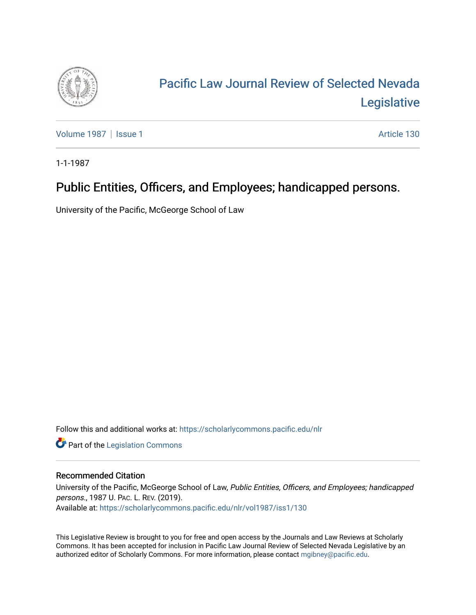

## [Pacific Law Journal Review of Selected Nevada](https://scholarlycommons.pacific.edu/nlr)  [Legislative](https://scholarlycommons.pacific.edu/nlr)

[Volume 1987](https://scholarlycommons.pacific.edu/nlr/vol1987) | [Issue 1](https://scholarlycommons.pacific.edu/nlr/vol1987/iss1) Article 130

1-1-1987

## Public Entities, Officers, and Employees; handicapped persons.

University of the Pacific, McGeorge School of Law

Follow this and additional works at: [https://scholarlycommons.pacific.edu/nlr](https://scholarlycommons.pacific.edu/nlr?utm_source=scholarlycommons.pacific.edu%2Fnlr%2Fvol1987%2Fiss1%2F130&utm_medium=PDF&utm_campaign=PDFCoverPages) 

**Part of the [Legislation Commons](http://network.bepress.com/hgg/discipline/859?utm_source=scholarlycommons.pacific.edu%2Fnlr%2Fvol1987%2Fiss1%2F130&utm_medium=PDF&utm_campaign=PDFCoverPages)** 

## Recommended Citation

University of the Pacific, McGeorge School of Law, Public Entities, Officers, and Employees; handicapped persons., 1987 U. PAC. L. REV. (2019). Available at: [https://scholarlycommons.pacific.edu/nlr/vol1987/iss1/130](https://scholarlycommons.pacific.edu/nlr/vol1987/iss1/130?utm_source=scholarlycommons.pacific.edu%2Fnlr%2Fvol1987%2Fiss1%2F130&utm_medium=PDF&utm_campaign=PDFCoverPages) 

This Legislative Review is brought to you for free and open access by the Journals and Law Reviews at Scholarly Commons. It has been accepted for inclusion in Pacific Law Journal Review of Selected Nevada Legislative by an authorized editor of Scholarly Commons. For more information, please contact [mgibney@pacific.edu](mailto:mgibney@pacific.edu).